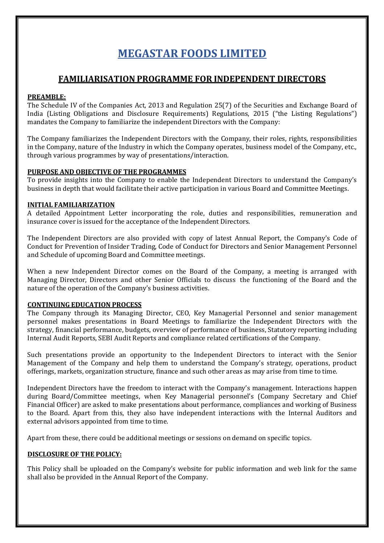# **MEGASTAR FOODS LIMITED**

## **FAMILIARISATION PROGRAMME FOR INDEPENDENT DIRECTORS**

#### **PREAMBLE:**

The Schedule IV of the Companies Act, 2013 and Regulation 25(7) of the Securities and Exchange Board of India (Listing Obligations and Disclosure Requirements) Regulations, 2015 ("the Listing Regulations") mandates the Company to familiarize the independent Directors with the Company:

The Company familiarizes the Independent Directors with the Company, their roles, rights, responsibilities in the Company, nature of the Industry in which the Company operates, business model of the Company, etc., through various programmes by way of presentations/interaction.

#### **PURPOSE AND OBJECTIVE OF THE PROGRAMMES**

To provide insights into the Company to enable the Independent Directors to understand the Company's business in depth that would facilitate their active participation in various Board and Committee Meetings.

#### **INITIAL FAMILIARIZATION**

A detailed Appointment Letter incorporating the role, duties and responsibilities, remuneration and insurance cover is issued for the acceptance of the Independent Directors.

The Independent Directors are also provided with copy of latest Annual Report, the Company's Code of Conduct for Prevention of Insider Trading, Code of Conduct for Directors and Senior Management Personnel and Schedule of upcoming Board and Committee meetings.

When a new Independent Director comes on the Board of the Company, a meeting is arranged with Managing Director, Directors and other Senior Officials to discuss the functioning of the Board and the nature of the operation of the Company's business activities.

#### **CONTINUING EDUCATION PROCESS**

The Company through its Managing Director, CEO, Key Managerial Personnel and senior management personnel makes presentations in Board Meetings to familiarize the Independent Directors with the strategy, financial performance, budgets, overview of performance of business, Statutory reporting including Internal Audit Reports, SEBI Audit Reports and compliance related certifications of the Company.

Such presentations provide an opportunity to the Independent Directors to interact with the Senior Management of the Company and help them to understand the Company's strategy, operations, product offerings, markets, organization structure, finance and such other areas as may arise from time to time.

Independent Directors have the freedom to interact with the Company's management. Interactions happen during Board/Committee meetings, when Key Managerial personnel's (Company Secretary and Chief Financial Officer) are asked to make presentations about performance, compliances and working of Business to the Board. Apart from this, they also have independent interactions with the Internal Auditors and external advisors appointed from time to time.

Apart from these, there could be additional meetings or sessions on demand on specific topics.

### **DISCLOSURE OF THE POLICY:**

This Policy shall be uploaded on the Company's website for public information and web link for the same shall also be provided in the Annual Report of the Company.